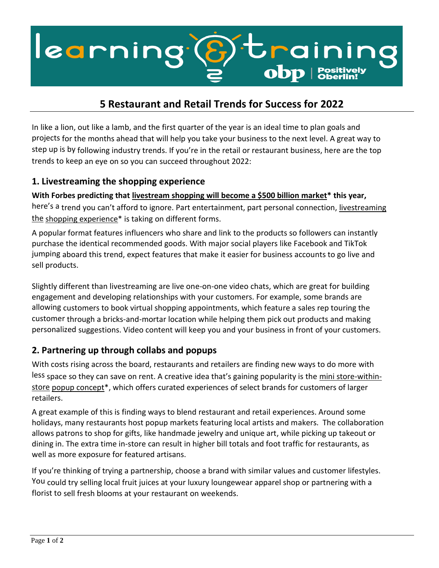

# **5 Restaurant and Retail Trends for Success for 2022**

In like a lion, out like a lamb, and the first quarter of the year is an ideal time to plan goals and projects for the months ahead that will help you take your business to the next level. A great way to step up is by following industry trends. If you're in the retail or restaurant business, here are the top trends to keep an eye on so you can succeed throughout 2022:

#### **1. Livestreaming the shopping experience**

**With Forbes predicting that [livestream shopping will become a \\$500 billion market\\*](https://www.elavon.com/resources/insights/5-restaurant-and-retail-trends-for-success-in-2022.html?hsid=SM_linkedin_elavon%2C+inc._1a381935-7fd6-40ee-b79c-7baf1633f4b1_HS) this year,** here's a trend you can't afford to ignore. Part entertainment, part personal connection, livestreaming [the](https://www.elavon.com/resources/insights/5-restaurant-and-retail-trends-for-success-in-2022.html?hsid=SM_linkedin_elavon%2C+inc._1a381935-7fd6-40ee-b79c-7baf1633f4b1_HS) shopping experience $*$  is taking on different forms.

A popular format features influencers who share and link to the products so followers can instantly purchase the identical recommended goods. With major social players like Facebook and TikTok jumping aboard this trend, expect features that make it easier for business accounts to go live and sell products.

Slightly different than livestreaming are live one-on-one video chats, which are great for building engagement and developing relationships with your customers. For example, some brands are allowing customers to book virtual shopping appointments, which feature a sales rep touring the customer through a bricks-and-mortar location while helping them pick out products and making personalized suggestions. Video content will keep you and your business in front of your customers.

### **2. Partnering up through collabs and popups**

With costs rising across the board, restaurants and retailers are finding new ways to do more with less space so they can save on rent. A creative idea that's gaining popularity is the [mini store-within](https://www.elavon.com/resources/insights/5-restaurant-and-retail-trends-for-success-in-2022.html?hsid=SM_linkedin_elavon%2C+inc._1a381935-7fd6-40ee-b79c-7baf1633f4b1_HS)[store](https://www.elavon.com/resources/insights/5-restaurant-and-retail-trends-for-success-in-2022.html?hsid=SM_linkedin_elavon%2C+inc._1a381935-7fd6-40ee-b79c-7baf1633f4b1_HS) [popup concept\\*](https://www.elavon.com/resources/insights/5-restaurant-and-retail-trends-for-success-in-2022.html?hsid=SM_linkedin_elavon%2C+inc._1a381935-7fd6-40ee-b79c-7baf1633f4b1_HS), which offers curated experiences of select brands for customers of larger retailers.

A great example of this is finding ways to blend restaurant and retail experiences. Around some holidays, many restaurants host popup markets featuring local artists and makers. The collaboration allows patrons to shop for gifts, like handmade jewelry and unique art, while picking up takeout or dining in. The extra time in-store can result in higher bill totals and foot traffic for restaurants, as well as more exposure for featured artisans.

If you're thinking of trying a partnership, choose a brand with similar values and customer lifestyles. You could try selling local fruit juices at your luxury loungewear apparel shop or partnering with a florist to sell fresh blooms at your restaurant on weekends.